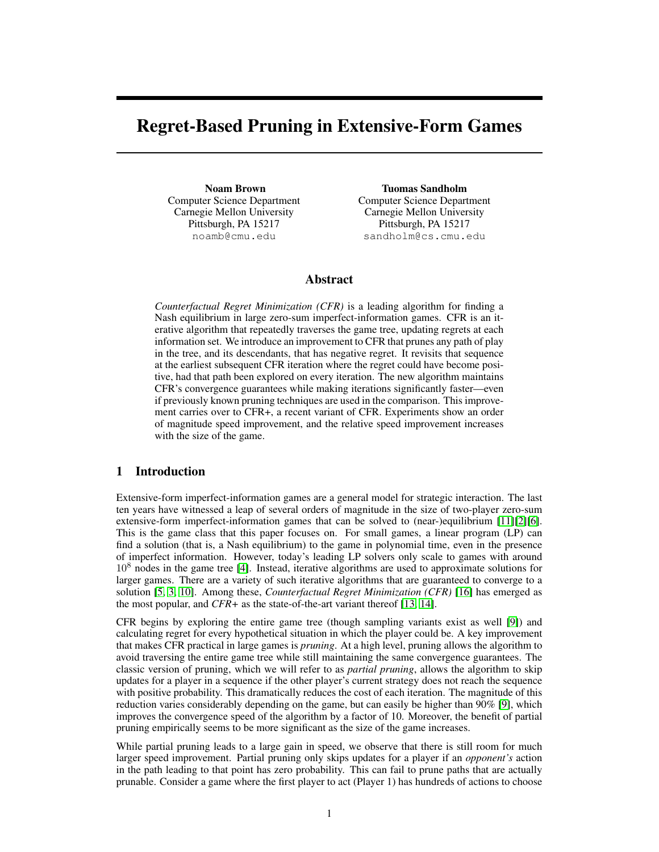# Regret-Based Pruning in Extensive-Form Games

Noam Brown Computer Science Department Carnegie Mellon University Pittsburgh, PA 15217 noamb@cmu.edu

Tuomas Sandholm Computer Science Department Carnegie Mellon University Pittsburgh, PA 15217 sandholm@cs.cmu.edu

# Abstract

*Counterfactual Regret Minimization (CFR)* is a leading algorithm for finding a Nash equilibrium in large zero-sum imperfect-information games. CFR is an iterative algorithm that repeatedly traverses the game tree, updating regrets at each information set. We introduce an improvement to CFR that prunes any path of play in the tree, and its descendants, that has negative regret. It revisits that sequence at the earliest subsequent CFR iteration where the regret could have become positive, had that path been explored on every iteration. The new algorithm maintains CFR's convergence guarantees while making iterations significantly faster—even if previously known pruning techniques are used in the comparison. This improvement carries over to CFR+, a recent variant of CFR. Experiments show an order of magnitude speed improvement, and the relative speed improvement increases with the size of the game.

# 1 Introduction

Extensive-form imperfect-information games are a general model for strategic interaction. The last ten years have witnessed a leap of several orders of magnitude in the size of two-player zero-sum extensive-form imperfect-information games that can be solved to (near-)equilibrium [11][2][6]. This is the game class that this paper focuses on. For small games, a linear program (LP) can find a solution (that is, a Nash equilibrium) to the game in polynomial time, even in the presence of imperfect information. However, today's leading LP solvers only scale to games with around  $10<sup>8</sup>$  nodes in the game tree [4]. Instead, iterative algorithms are used to approximate solutions for larger games. There are a variety of such iterative algorithms that are guaranteed to converge to a solution [5, 3, 10]. Among these, *Counterfactual Regret Minimization (CFR)* [16] has emerged as the most popular, and *CFR+* as the state-of-the-art variant thereof [13, 14].

CFR begins by exploring the entire game tree (though sampling variants exist as well [9]) and calculating regret for every hypothetical situation in which the player could be. A key improvement that makes CFR practical in large games is *pruning*. At a high level, pruning allows the algorithm to avoid traversing the entire game tree while still maintaining the same convergence guarantees. The classic version of pruning, which we will refer to as *partial pruning*, allows the algorithm to skip updates for a player in a sequence if the other player's current strategy does not reach the sequence with positive probability. This dramatically reduces the cost of each iteration. The magnitude of this reduction varies considerably depending on the game, but can easily be higher than 90% [9], which improves the convergence speed of the algorithm by a factor of 10. Moreover, the benefit of partial pruning empirically seems to be more significant as the size of the game increases.

While partial pruning leads to a large gain in speed, we observe that there is still room for much larger speed improvement. Partial pruning only skips updates for a player if an *opponent's* action in the path leading to that point has zero probability. This can fail to prune paths that are actually prunable. Consider a game where the first player to act (Player 1) has hundreds of actions to choose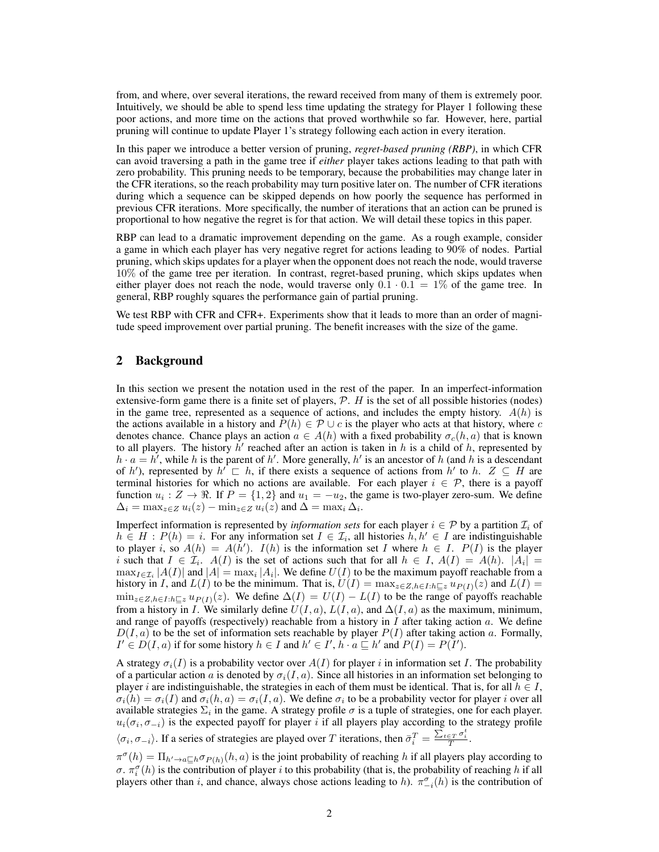from, and where, over several iterations, the reward received from many of them is extremely poor. Intuitively, we should be able to spend less time updating the strategy for Player 1 following these poor actions, and more time on the actions that proved worthwhile so far. However, here, partial pruning will continue to update Player 1's strategy following each action in every iteration.

In this paper we introduce a better version of pruning, *regret-based pruning (RBP)*, in which CFR can avoid traversing a path in the game tree if *either* player takes actions leading to that path with zero probability. This pruning needs to be temporary, because the probabilities may change later in the CFR iterations, so the reach probability may turn positive later on. The number of CFR iterations during which a sequence can be skipped depends on how poorly the sequence has performed in previous CFR iterations. More specifically, the number of iterations that an action can be pruned is proportional to how negative the regret is for that action. We will detail these topics in this paper.

RBP can lead to a dramatic improvement depending on the game. As a rough example, consider a game in which each player has very negative regret for actions leading to 90% of nodes. Partial pruning, which skips updates for a player when the opponent does not reach the node, would traverse 10% of the game tree per iteration. In contrast, regret-based pruning, which skips updates when either player does not reach the node, would traverse only  $0.1 \cdot 0.1 = 1\%$  of the game tree. In general, RBP roughly squares the performance gain of partial pruning.

We test RBP with CFR and CFR+. Experiments show that it leads to more than an order of magnitude speed improvement over partial pruning. The benefit increases with the size of the game.

# 2 Background

In this section we present the notation used in the rest of the paper. In an imperfect-information extensive-form game there is a finite set of players,  $P$ .  $H$  is the set of all possible histories (nodes) in the game tree, represented as a sequence of actions, and includes the empty history.  $A(h)$  is the actions available in a history and  $P(h) \in \mathcal{P} \cup c$  is the player who acts at that history, where c denotes chance. Chance plays an action  $a \in A(h)$  with a fixed probability  $\sigma_c(h, a)$  that is known to all players. The history  $h'$  reached after an action is taken in h is a child of h, represented by  $h \cdot a = h'$ , while h is the parent of h'. More generally, h' is an ancestor of h (and h is a descendant of h'), represented by  $h' \subseteq h$ , if there exists a sequence of actions from h' to h.  $Z \subseteq H$  are terminal histories for which no actions are available. For each player  $i \in \mathcal{P}$ , there is a payoff function  $u_i: Z \to \mathbb{R}$ . If  $P = \{1, 2\}$  and  $u_1 = -u_2$ , the game is two-player zero-sum. We define  $\Delta_i = \max_{z \in Z} u_i(z) - \min_{z \in Z} u_i(z)$  and  $\Delta = \max_i \Delta_i$ .

Imperfect information is represented by *information sets* for each player  $i \in \mathcal{P}$  by a partition  $\mathcal{I}_i$  of  $h \in H : P(h) = i$ . For any information set  $I \in \mathcal{I}_i$ , all histories  $h, h' \in I$  are indistinguishable to player i, so  $A(h) = A(h')$ .  $I(h)$  is the information set I where  $h \in I$ .  $P(I)$  is the player i such that  $I \in \mathcal{I}_i$ .  $A(I)$  is the set of actions such that for all  $h \in I$ ,  $A(I) = A(h)$ .  $|A_i|$  $\max_{I \in \mathcal{I}_i} |A(I)|$  and  $|A| = \max_i |A_i|$ . We define  $U(I)$  to be the maximum payoff reachable from a history in I, and  $L(I)$  to be the minimum. That is,  $U(I) = \max_{z \in Z, h \in I: h \sqsubseteq z} u_{P(I)}(z)$  and  $L(I) =$  $\min_{z\in Z, h\in I: h\sqsubset z} u_{P(I)}(z)$ . We define  $\Delta(I) = U(I) - L(I)$  to be the range of payoffs reachable from a history in I. We similarly define  $U(I, a)$ ,  $L(I, a)$ , and  $\Delta(I, a)$  as the maximum, minimum, and range of payoffs (respectively) reachable from a history in  $I$  after taking action  $a$ . We define  $D(I, a)$  to be the set of information sets reachable by player  $P(I)$  after taking action a. Formally,  $I' \in D(I, a)$  if for some history  $h \in I$  and  $h' \in I'$ ,  $h \cdot a \subseteq h'$  and  $P(I) = P(I')$ .

A strategy  $\sigma_i(I)$  is a probability vector over  $A(I)$  for player i in information set I. The probability of a particular action a is denoted by  $\sigma_i(I, a)$ . Since all histories in an information set belonging to player i are indistinguishable, the strategies in each of them must be identical. That is, for all  $h \in I$ ,  $\sigma_i(h) = \sigma_i(I)$  and  $\sigma_i(h, a) = \sigma_i(I, a)$ . We define  $\sigma_i$  to be a probability vector for player i over all available strategies  $\Sigma_i$  in the game. A strategy profile  $\sigma$  is a tuple of strategies, one for each player.  $u_i(\sigma_i, \sigma_{-i})$  is the expected payoff for player i if all players play according to the strategy profile

 $\langle \sigma_i, \sigma_{-i} \rangle$ . If a series of strategies are played over T iterations, then  $\bar{\sigma}_i^T = \frac{\sum_{t \in T} \sigma_i^t}{T}$ .

 $\pi^{\sigma}(h) = \prod_{h' \to a \sqsubseteq h} \sigma_{P(h)}(h, a)$  is the joint probability of reaching h if all players play according to  $\sigma$ .  $\pi_i^{\sigma}(h)$  is the contribution of player *i* to this probability (that is, the probability of reaching *h* if all players other than i, and chance, always chose actions leading to h).  $\pi_{-i}^{\sigma}(h)$  is the contribution of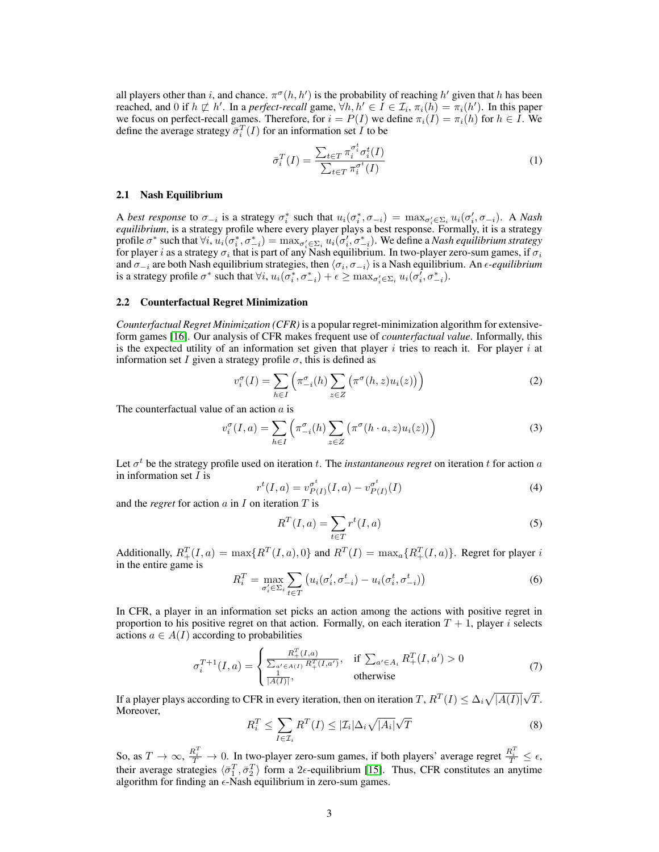all players other than i, and chance.  $\pi^{\sigma}(h, h')$  is the probability of reaching  $h'$  given that h has been reached, and 0 if  $h \not\sqsubset h'$ . In a *perfect-recall* game,  $\forall h, h' \in I \in \mathcal{I}_i$ ,  $\pi_i(h) = \pi_i(h')$ . In this paper we focus on perfect-recall games. Therefore, for  $i = P(I)$  we define  $\pi_i(I) = \pi_i(h)$  for  $h \in I$ . We define the average strategy  $\bar{\sigma}_i^T(I)$  for an information set  $I$  to be

$$
\bar{\sigma}_i^T(I) = \frac{\sum_{t \in T} \pi_i^{\sigma_i^t} \sigma_i^t(I)}{\sum_{t \in T} \pi_i^{\sigma_i^t}(I)} \tag{1}
$$

#### 2.1 Nash Equilibrium

A *best response* to  $\sigma_{-i}$  is a strategy  $\sigma_i^*$  such that  $u_i(\sigma_i^*, \sigma_{-i}) = \max_{\sigma_i' \in \Sigma_i} u_i(\sigma_i', \sigma_{-i})$ . A *Nash equilibrium*, is a strategy profile where every player plays a best response. Formally, it is a strategy profile  $\sigma^*$  such that  $\forall i, u_i(\sigma_i^*, \sigma_{-i}^*) = \max_{\sigma_i' \in \Sigma_i} u_i(\sigma_i', \sigma_{-i}^*)$ . We define a *Nash equilibrium strategy* for player  $i$  as a strategy  $\sigma_i$  that is part of any Nash equilibrium. In two-player zero-sum games, if  $\sigma_i$ and  $\sigma_{-i}$  are both Nash equilibrium strategies, then  $\langle \sigma_i, \sigma_{-i} \rangle$  is a Nash equilibrium. An  $\epsilon$ *-equilibrium* is a strategy profile  $\sigma^*$  such that  $\forall i$ ,  $u_i(\sigma_i^*, \sigma_{-i}^*) + \epsilon \ge \max_{\sigma_i' \in \Sigma_i} u_i(\sigma_i', \sigma_{-i}^*)$ .

#### 2.2 Counterfactual Regret Minimization

*Counterfactual Regret Minimization (CFR)* is a popular regret-minimization algorithm for extensiveform games [16]. Our analysis of CFR makes frequent use of *counterfactual value*. Informally, this is the expected utility of an information set given that player  $i$  tries to reach it. For player  $i$  at information set I given a strategy profile  $\sigma$ , this is defined as

$$
v_i^{\sigma}(I) = \sum_{h \in I} \left( \pi_{-i}^{\sigma}(h) \sum_{z \in Z} \left( \pi^{\sigma}(h, z) u_i(z) \right) \right)
$$
 (2)

The counterfactual value of an action  $a$  is

$$
v_i^{\sigma}(I, a) = \sum_{h \in I} \left( \pi_{-i}^{\sigma}(h) \sum_{z \in Z} \left( \pi^{\sigma}(h \cdot a, z) u_i(z) \right) \right)
$$
 (3)

Let  $\sigma^t$  be the strategy profile used on iteration t. The *instantaneous regret* on iteration t for action a in information set  $I$  is

$$
r^{t}(I,a) = v_{P(I)}^{\sigma^{t}}(I,a) - v_{P(I)}^{\sigma^{t}}(I)
$$
\n(4)

and the *regret* for action  $a$  in  $I$  on iteration  $T$  is

$$
R^{T}(I,a) = \sum_{t \in T} r^{t}(I,a)
$$
\n<sup>(5)</sup>

Additionally,  $R_+^T(I, a) = \max\{R^T(I, a), 0\}$  and  $R^T(I) = \max_a\{R_+^T(I, a)\}\$ . Regret for player i in the entire game is

$$
R_i^T = \max_{\sigma_i' \in \Sigma_i} \sum_{t \in T} \left( u_i(\sigma_i', \sigma_{-i}^t) - u_i(\sigma_i^t, \sigma_{-i}^t) \right) \tag{6}
$$

In CFR, a player in an information set picks an action among the actions with positive regret in proportion to his positive regret on that action. Formally, on each iteration  $T + 1$ , player i selects actions  $a \in A(I)$  according to probabilities

$$
\sigma_i^{T+1}(I,a) = \begin{cases} \frac{R_+^T(I,a)}{\sum_{a' \in A(I)} R_+^T(I,a')} & \text{if } \sum_{a' \in A_i} R_+^T(I,a') > 0\\ \frac{1}{|A(I)|}, & \text{otherwise} \end{cases}
$$
(7)

If a player plays according to CFR in every iteration, then on iteration  $T$  ,  $R^T(I) \leq \Delta_i \sqrt{|A(I)|}$ T. Moreover, √

$$
R_i^T \le \sum_{I \in \mathcal{I}_i} R^T(I) \le |\mathcal{I}_i| \Delta_i \sqrt{|A_i|} \sqrt{T}
$$
\n(8)

So, as  $T \to \infty$ ,  $\frac{R_i^T}{T} \to 0$ . In two-player zero-sum games, if both players' average regret  $\frac{R_i^T}{T} \leq \epsilon$ , their average strategies  $\langle \bar{\sigma}_1^T, \bar{\sigma}_2^T \rangle$  form a 2 $\epsilon$ -equilibrium [15]. Thus, CFR constitutes an anytime algorithm for finding an  $\epsilon$ -Nash equilibrium in zero-sum games.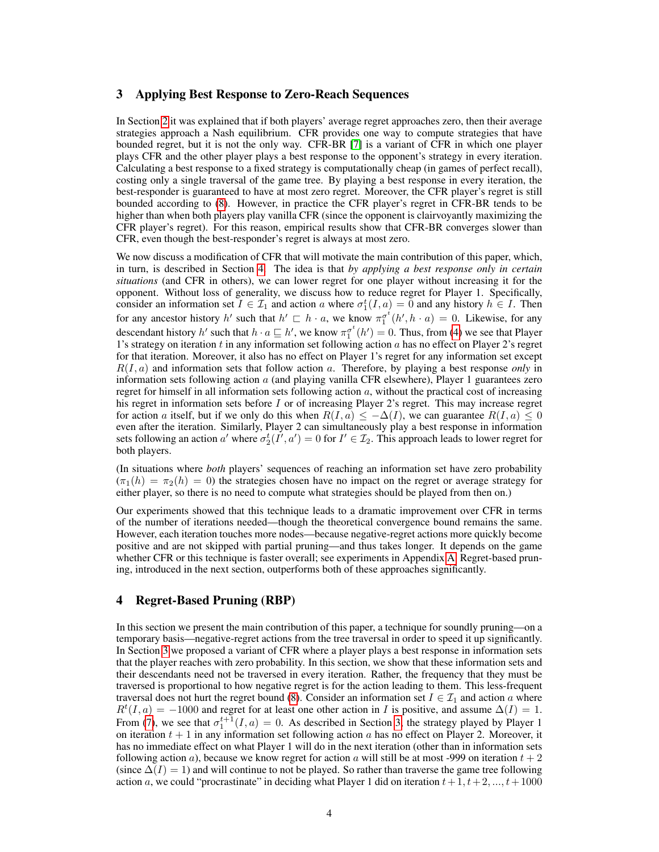## 3 Applying Best Response to Zero-Reach Sequences

In Section 2 it was explained that if both players' average regret approaches zero, then their average strategies approach a Nash equilibrium. CFR provides one way to compute strategies that have bounded regret, but it is not the only way. CFR-BR [7] is a variant of CFR in which one player plays CFR and the other player plays a best response to the opponent's strategy in every iteration. Calculating a best response to a fixed strategy is computationally cheap (in games of perfect recall), costing only a single traversal of the game tree. By playing a best response in every iteration, the best-responder is guaranteed to have at most zero regret. Moreover, the CFR player's regret is still bounded according to (8). However, in practice the CFR player's regret in CFR-BR tends to be higher than when both players play vanilla CFR (since the opponent is clairvoyantly maximizing the CFR player's regret). For this reason, empirical results show that CFR-BR converges slower than CFR, even though the best-responder's regret is always at most zero.

We now discuss a modification of CFR that will motivate the main contribution of this paper, which, in turn, is described in Section 4. The idea is that *by applying a best response only in certain situations* (and CFR in others), we can lower regret for one player without increasing it for the opponent. Without loss of generality, we discuss how to reduce regret for Player 1. Specifically, consider an information set  $I \in \mathcal{I}_1$  and action a where  $\sigma_1^t(I, a) = 0$  and any history  $h \in I$ . Then for any ancestor history h' such that  $h' \sqsubset h \cdot a$ , we know  $\pi_1^{\sigma^t}(h', h \cdot a) = 0$ . Likewise, for any descendant history h' such that  $h \cdot a \sqsubseteq h'$ , we know  $\pi_1^{\sigma^t}(h') = 0$ . Thus, from (4) we see that Player 1's strategy on iteration  $t$  in any information set following action  $a$  has no effect on Player 2's regret for that iteration. Moreover, it also has no effect on Player 1's regret for any information set except  $R(I, a)$  and information sets that follow action a. Therefore, by playing a best response *only* in information sets following action  $\alpha$  (and playing vanilla CFR elsewhere), Player 1 guarantees zero regret for himself in all information sets following action  $a$ , without the practical cost of increasing his regret in information sets before I or of increasing Player 2's regret. This may increase regret for action a itself, but if we only do this when  $R(I, a) \leq -\Delta(I)$ , we can guarantee  $R(I, a) \leq 0$ even after the iteration. Similarly, Player 2 can simultaneously play a best response in information sets following an action  $a'$  where  $\sigma_2^t(I', a') = 0$  for  $I' \in \mathcal{I}_2$ . This approach leads to lower regret for both players.

(In situations where *both* players' sequences of reaching an information set have zero probability  $(\pi_1(h) = \pi_2(h) = 0)$  the strategies chosen have no impact on the regret or average strategy for either player, so there is no need to compute what strategies should be played from then on.)

Our experiments showed that this technique leads to a dramatic improvement over CFR in terms of the number of iterations needed—though the theoretical convergence bound remains the same. However, each iteration touches more nodes—because negative-regret actions more quickly become positive and are not skipped with partial pruning—and thus takes longer. It depends on the game whether CFR or this technique is faster overall; see experiments in Appendix A. Regret-based pruning, introduced in the next section, outperforms both of these approaches significantly.

## 4 Regret-Based Pruning (RBP)

In this section we present the main contribution of this paper, a technique for soundly pruning—on a temporary basis—negative-regret actions from the tree traversal in order to speed it up significantly. In Section 3 we proposed a variant of CFR where a player plays a best response in information sets that the player reaches with zero probability. In this section, we show that these information sets and their descendants need not be traversed in every iteration. Rather, the frequency that they must be traversed is proportional to how negative regret is for the action leading to them. This less-frequent traversal does not hurt the regret bound (8). Consider an information set  $I \in \mathcal{I}_1$  and action a where  $R<sup>t</sup>(I, a) = -1000$  and regret for at least one other action in I is positive, and assume  $\Delta(I) = 1$ . From (7), we see that  $\sigma_1^{t+1}(I, a) = 0$ . As described in Section 3, the strategy played by Player 1 on iteration  $t + 1$  in any information set following action a has no effect on Player 2. Moreover, it has no immediate effect on what Player 1 will do in the next iteration (other than in information sets following action a), because we know regret for action a will still be at most -999 on iteration  $t + 2$ (since  $\Delta(I) = 1$ ) and will continue to not be played. So rather than traverse the game tree following action a, we could "procrastinate" in deciding what Player 1 did on iteration  $t + 1, t + 2, ..., t + 1000$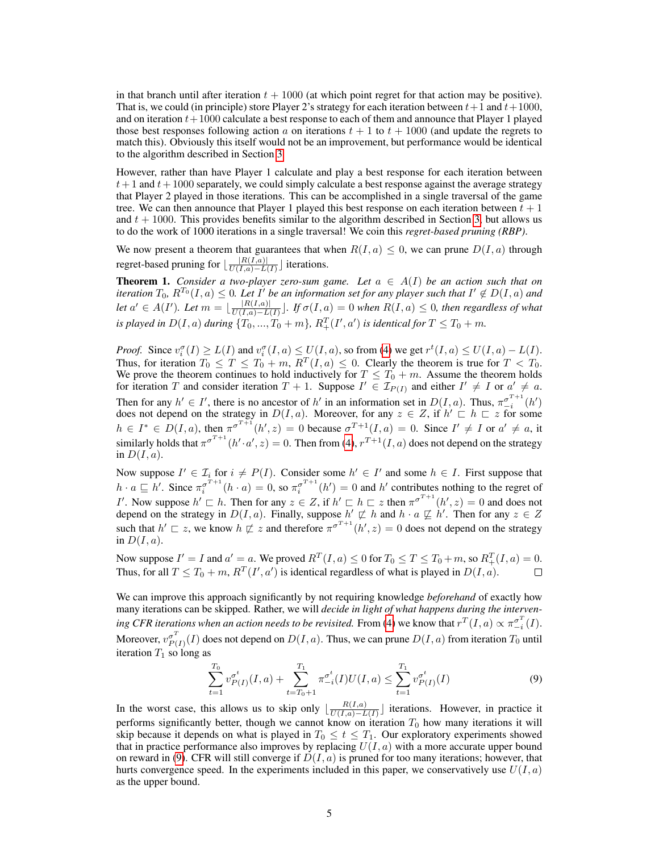in that branch until after iteration  $t + 1000$  (at which point regret for that action may be positive). That is, we could (in principle) store Player 2's strategy for each iteration between  $t+1$  and  $t+1000$ , and on iteration  $t+1000$  calculate a best response to each of them and announce that Player 1 played those best responses following action a on iterations  $t + 1$  to  $t + 1000$  (and update the regrets to match this). Obviously this itself would not be an improvement, but performance would be identical to the algorithm described in Section 3.

However, rather than have Player 1 calculate and play a best response for each iteration between  $t+1$  and  $t+1000$  separately, we could simply calculate a best response against the average strategy that Player 2 played in those iterations. This can be accomplished in a single traversal of the game tree. We can then announce that Player 1 played this best response on each iteration between  $t + 1$ and  $t + 1000$ . This provides benefits similar to the algorithm described in Section 3, but allows us to do the work of 1000 iterations in a single traversal! We coin this *regret-based pruning (RBP)*.

We now present a theorem that guarantees that when  $R(I, a) \leq 0$ , we can prune  $D(I, a)$  through regret-based pruning for  $\frac{|R(I,a)|}{\prod(I,a)-L}$  $\frac{|R(I,a)|}{U(I,a)-L(I)}$  iterations.

**Theorem 1.** *Consider a two-player zero-sum game.* Let  $a \in A(I)$  be an action such that on iteration  $T_0$ ,  $R^{T_0}(I,a) \leq 0$ . Let  $I'$  be an information set for any player such that  $I' \notin D(I,a)$  and *let*  $a' \in A(I')$ *. Let*  $m = \frac{|R(I, a)|}{\prod (I, a) - I}$  $\frac{|R(I,a)|}{U(I,a)-L(I)}$ . If  $\sigma(I,a) = 0$  when  $R(I,a) ≤ 0$ , then regardless of what is played in  $D(I, a)$  during  $\{T_0, ..., T_0 + m\}$ ,  $R_+^T(I', a')$  is identical for  $T \le T_0 + m$ .

*Proof.* Since  $v_i^{\sigma}(I) \ge L(I)$  and  $v_i^{\sigma}(I, a) \le U(I, a)$ , so from (4) we get  $r^t(I, a) \le U(I, a) - L(I)$ . Thus, for iteration  $T_0 \leq T \leq T_0 + m$ ,  $R^T(I, a) \leq 0$ . Clearly the theorem is true for  $T < T_0$ . We prove the theorem continues to hold inductively for  $T \leq T_0 + m$ . Assume the theorem holds for iteration T and consider iteration  $T + 1$ . Suppose  $I' \in \mathcal{I}_{P(I)}$  and either  $I' \neq I$  or  $a' \neq a$ . Then for any  $h' \in I'$ , there is no ancestor of h' in an information set in  $D(I, a)$ . Thus,  $\pi_{-i}^{\sigma^{T+1}}(h')$ does not depend on the strategy in  $D(I, a)$ . Moreover, for any  $z \in Z$ , if  $h' \subseteq h \sqsubset z$  for some  $h \in I^* \in D(I, a)$ , then  $\pi^{\sigma^{T+1}}(h', z) = 0$  because  $\sigma^{T+1}(I, a) = 0$ . Since  $I' \neq I$  or  $a' \neq a$ , it similarly holds that  $\pi^{\sigma^{T+1}}(h' \cdot a', z) = 0$ . Then from (4),  $r^{T+1}(I, a)$  does not depend on the strategy in  $D(I, a)$ .

Now suppose  $I' \in \mathcal{I}_i$  for  $i \neq P(I)$ . Consider some  $h' \in I'$  and some  $h \in I$ . First suppose that  $h \cdot a \sqsubseteq h'$ . Since  $\pi_i^{\sigma^{T+1}}(h \cdot a) = 0$ , so  $\pi_i^{\sigma^{T+1}}(h') = 0$  and  $h'$  contributes nothing to the regret of I'. Now suppose  $h' \sqsubset h$ . Then for any  $z \in Z$ , if  $h' \sqsubset h \sqsubset z$  then  $\pi^{\sigma^{T+1}}(h', z) = 0$  and does not depend on the strategy in  $D(I, a)$ . Finally, suppose  $h' \not\sqsubset h$  and  $h \cdot a \not\sqsubseteq h'$ . Then for any  $z \in Z$ such that  $h' \sqsubset z$ , we know  $h \not\sqsubset z$  and therefore  $\pi^{\sigma^{T+1}}(h', z) = 0$  does not depend on the strategy in  $D(I, a)$ .

Now suppose  $I' = I$  and  $a' = a$ . We proved  $R^T(I, a) \le 0$  for  $T_0 \le T \le T_0 + m$ , so  $R^T_+(I, a) = 0$ . Thus, for all  $T \leq T_0 + m$ ,  $R^T(I', a')$  is identical regardless of what is played in  $D(I, a)$ .  $\Box$ 

We can improve this approach significantly by not requiring knowledge *beforehand* of exactly how many iterations can be skipped. Rather, we will *decide in light of what happens during the interven*ing CFR iterations when an action needs to be revisited. From (4) we know that  $r^T(I,a) \propto \pi_{-i}^{\sigma^T}(I)$ . Moreover,  $v_{P}^{\sigma^T}$  $P_{(I)}^{(I)}(I)$  does not depend on  $D(I, a)$ . Thus, we can prune  $D(I, a)$  from iteration  $T_0$  until iteration  $T_1$  so long as

$$
\sum_{t=1}^{T_0} v_{P(I)}^{\sigma^t}(I, a) + \sum_{t=T_0+1}^{T_1} \pi_{-i}^{\sigma^t}(I) U(I, a) \le \sum_{t=1}^{T_1} v_{P(I)}^{\sigma^t}(I)
$$
\n(9)

In the worst case, this allows us to skip only  $\left| \frac{R(I,a)}{I(I,a)-I} \right|$  $\frac{R(I,a)}{U(I,a)-L(I)}$  iterations. However, in practice it performs significantly better, though we cannot know on iteration  $T_0$  how many iterations it will skip because it depends on what is played in  $T_0 \le t \le T_1$ . Our exploratory experiments showed that in practice performance also improves by replacing  $U(I, a)$  with a more accurate upper bound on reward in (9). CFR will still converge if  $D(I, a)$  is pruned for too many iterations; however, that hurts convergence speed. In the experiments included in this paper, we conservatively use  $U(I, a)$ as the upper bound.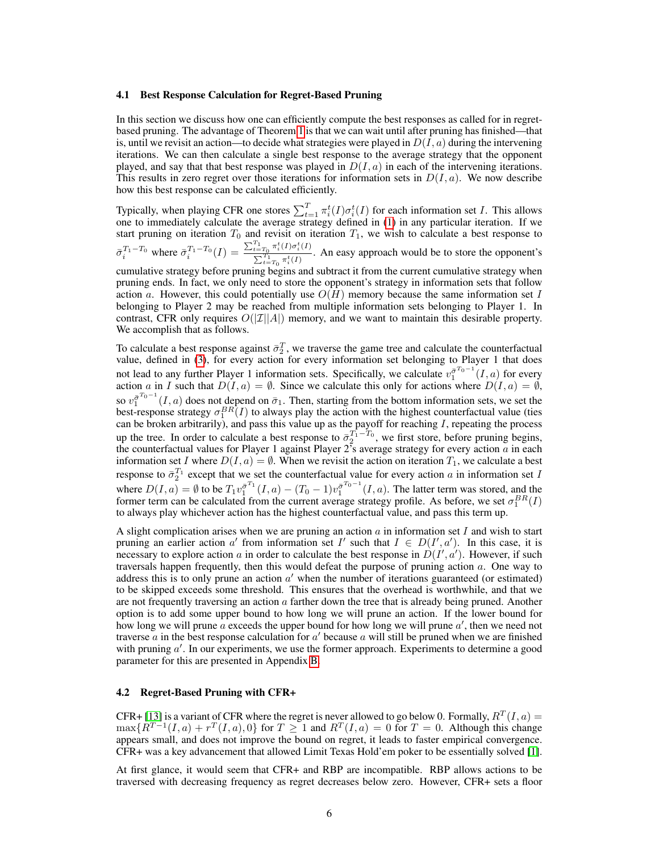#### 4.1 Best Response Calculation for Regret-Based Pruning

In this section we discuss how one can efficiently compute the best responses as called for in regretbased pruning. The advantage of Theorem 1 is that we can wait until after pruning has finished—that is, until we revisit an action—to decide what strategies were played in  $D(I, a)$  during the intervening iterations. We can then calculate a single best response to the average strategy that the opponent played, and say that that best response was played in  $D(I, a)$  in each of the intervening iterations. This results in zero regret over those iterations for information sets in  $D(I, a)$ . We now describe how this best response can be calculated efficiently.

Typically, when playing CFR one stores  $\sum_{t=1}^T \pi_i^t(I) \sigma_i^t(I)$  for each information set *I*. This allows one to immediately calculate the average strategy defined in (1) in any particular iteration. If we start pruning on iteration  $T_0$  and revisit on iteration  $T_1$ , we wish to calculate a best response to  $\bar{\sigma}_i^{T_1-T_0}$  where  $\bar{\sigma}_i^{T_1-T_0}(I) = \frac{\sum_{t=T_0}^{T_1} \pi_i^t(I) \sigma_i^t(I)}{\sum_{t=T_1}^{T_1} \pi_i^t(I)}$  $\frac{t=T_0^{T_1} \prod_{i=1}^{T_1} \prod_{j=1}^{T_i} (T_i - \sum_{i=1}^{T_i} \pi_i^t(I))}{T_i^t}$ . An easy approach would be to store the opponent's

cumulative strategy before pruning begins and subtract it from the current cumulative strategy when pruning ends. In fact, we only need to store the opponent's strategy in information sets that follow action a. However, this could potentially use  $O(H)$  memory because the same information set I belonging to Player 2 may be reached from multiple information sets belonging to Player 1. In contrast, CFR only requires  $O(|\mathcal{I}||A|)$  memory, and we want to maintain this desirable property. We accomplish that as follows.

To calculate a best response against  $\bar{\sigma}_2^T$ , we traverse the game tree and calculate the counterfactual value, defined in (3), for every action for every information set belonging to Player 1 that does not lead to any further Player 1 information sets. Specifically, we calculate  $v_1^{\bar{\sigma}^{T_0-1}}(I,a)$  for every action a in I such that  $D(I, a) = \emptyset$ . Since we calculate this only for actions where  $D(I, a) = \emptyset$ , so  $v_1^{\bar{\sigma}^{T_0-1}}(I,a)$  does not depend on  $\bar{\sigma}_1$ . Then, starting from the bottom information sets, we set the best-response strategy  $\sigma_1^{BR}(I)$  to always play the action with the highest counterfactual value (ties can be broken arbitrarily), and pass this value up as the payoff for reaching  $I$ , repeating the process up the tree. In order to calculate a best response to  $\bar{\sigma}_2^{T_1-T_0}$ , we first store, before pruning begins, the counterfactual values for Player 1 against Player  $2^7$ s average strategy for every action  $\alpha$  in each information set I where  $D(I, a) = \emptyset$ . When we revisit the action on iteration  $T_1$ , we calculate a best response to  $\bar{\sigma}_2^{T_1}$  except that we set the counterfactual value for every action a in information set I where  $D(I, a) = \emptyset$  to be  $T_1 v_1^{\bar{\sigma}^{T_1}}(I, a) - (T_0 - 1)v_1^{\bar{\sigma}^{T_0 - 1}}(I, a)$ . The latter term was stored, and the former term can be calculated from the current average strategy profile. As before, we set  $\sigma_1^{BR}(I)$ to always play whichever action has the highest counterfactual value, and pass this term up.

A slight complication arises when we are pruning an action  $\alpha$  in information set I and wish to start pruning an earlier action a' from information set I' such that  $I \in D(I',a')$ . In this case, it is necessary to explore action a in order to calculate the best response in  $D(I', a')$ . However, if such traversals happen frequently, then this would defeat the purpose of pruning action a. One way to address this is to only prune an action  $a'$  when the number of iterations guaranteed (or estimated) to be skipped exceeds some threshold. This ensures that the overhead is worthwhile, and that we are not frequently traversing an action  $a$  farther down the tree that is already being pruned. Another option is to add some upper bound to how long we will prune an action. If the lower bound for how long we will prune  $\overline{a}$  exceeds the upper bound for how long we will prune  $a'$ , then we need not traverse  $\alpha$  in the best response calculation for  $\alpha'$  because  $\alpha$  will still be pruned when we are finished with pruning  $a'$ . In our experiments, we use the former approach. Experiments to determine a good parameter for this are presented in Appendix B.

#### 4.2 Regret-Based Pruning with CFR+

CFR+ [13] is a variant of CFR where the regret is never allowed to go below 0. Formally,  $R^{T}(I, a) =$  $\max\{R^{T-1}(I,a) + r^T(I,a), 0\}$  for  $T \geq 1$  and  $R^T(I,a) = 0$  for  $T = 0$ . Although this change appears small, and does not improve the bound on regret, it leads to faster empirical convergence. CFR+ was a key advancement that allowed Limit Texas Hold'em poker to be essentially solved [1].

At first glance, it would seem that CFR+ and RBP are incompatible. RBP allows actions to be traversed with decreasing frequency as regret decreases below zero. However, CFR+ sets a floor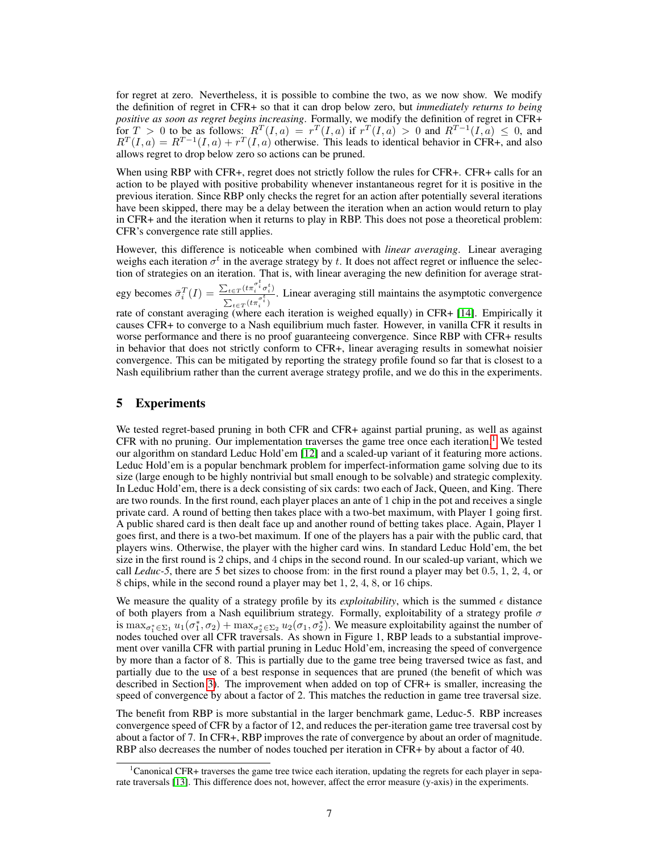for regret at zero. Nevertheless, it is possible to combine the two, as we now show. We modify the definition of regret in CFR+ so that it can drop below zero, but *immediately returns to being positive as soon as regret begins increasing*. Formally, we modify the definition of regret in CFR+ for  $T > 0$  to be as follows:  $R^T(I, a) = r^T(I, a)$  if  $r^T(I, a) > 0$  and  $R^{T-1}(I, a) \leq 0$ , and  $R^{T}(I,a) = R^{T-1}(I,a) + r^{T}(I,a)$  otherwise. This leads to identical behavior in CFR+, and also allows regret to drop below zero so actions can be pruned.

When using RBP with CFR+, regret does not strictly follow the rules for CFR+. CFR+ calls for an action to be played with positive probability whenever instantaneous regret for it is positive in the previous iteration. Since RBP only checks the regret for an action after potentially several iterations have been skipped, there may be a delay between the iteration when an action would return to play in CFR+ and the iteration when it returns to play in RBP. This does not pose a theoretical problem: CFR's convergence rate still applies.

However, this difference is noticeable when combined with *linear averaging*. Linear averaging weighs each iteration  $\sigma^t$  in the average strategy by t. It does not affect regret or influence the selection of strategies on an iteration. That is, with linear averaging the new definition for average strat-

egy becomes  $\bar{\sigma}_i^T(I) = \frac{\sum_{t \in T} (t \pi_i^{\sigma_i^t} \sigma_i^t)}{\sum_{t \in \sigma_i^t} \sigma_i^t}$  $\frac{D_t \in T^{(t n_i \sigma_i)} \sigma_i}{\sum_{t \in T} (t \pi_i^{\sigma_i^t})}$ . Linear averaging still maintains the asymptotic convergence

rate of constant averaging (where each iteration is weighed equally) in CFR+ [14]. Empirically it causes CFR+ to converge to a Nash equilibrium much faster. However, in vanilla CFR it results in worse performance and there is no proof guaranteeing convergence. Since RBP with CFR+ results in behavior that does not strictly conform to CFR+, linear averaging results in somewhat noisier convergence. This can be mitigated by reporting the strategy profile found so far that is closest to a Nash equilibrium rather than the current average strategy profile, and we do this in the experiments.

## 5 Experiments

We tested regret-based pruning in both CFR and CFR+ against partial pruning, as well as against CFR with no pruning. Our implementation traverses the game tree once each iteration.<sup>1</sup> We tested our algorithm on standard Leduc Hold'em [12] and a scaled-up variant of it featuring more actions. Leduc Hold'em is a popular benchmark problem for imperfect-information game solving due to its size (large enough to be highly nontrivial but small enough to be solvable) and strategic complexity. In Leduc Hold'em, there is a deck consisting of six cards: two each of Jack, Queen, and King. There are two rounds. In the first round, each player places an ante of 1 chip in the pot and receives a single private card. A round of betting then takes place with a two-bet maximum, with Player 1 going first. A public shared card is then dealt face up and another round of betting takes place. Again, Player 1 goes first, and there is a two-bet maximum. If one of the players has a pair with the public card, that players wins. Otherwise, the player with the higher card wins. In standard Leduc Hold'em, the bet size in the first round is 2 chips, and 4 chips in the second round. In our scaled-up variant, which we call *Leduc-5*, there are 5 bet sizes to choose from: in the first round a player may bet 0.5, 1, 2, 4, or 8 chips, while in the second round a player may bet 1, 2, 4, 8, or 16 chips.

We measure the quality of a strategy profile by its *exploitability*, which is the summed  $\epsilon$  distance of both players from a Nash equilibrium strategy. Formally, exploitability of a strategy profile  $\sigma$ is  $\max_{\sigma_1^* \in \Sigma_1} u_1(\sigma_1^*, \sigma_2) + \max_{\sigma_2^* \in \Sigma_2} u_2(\sigma_1, \sigma_2^*)$ . We measure exploitability against the number of nodes touched over all CFR traversals. As shown in Figure 1, RBP leads to a substantial improvement over vanilla CFR with partial pruning in Leduc Hold'em, increasing the speed of convergence by more than a factor of 8. This is partially due to the game tree being traversed twice as fast, and partially due to the use of a best response in sequences that are pruned (the benefit of which was described in Section 3). The improvement when added on top of CFR+ is smaller, increasing the speed of convergence by about a factor of 2. This matches the reduction in game tree traversal size.

The benefit from RBP is more substantial in the larger benchmark game, Leduc-5. RBP increases convergence speed of CFR by a factor of 12, and reduces the per-iteration game tree traversal cost by about a factor of 7. In CFR+, RBP improves the rate of convergence by about an order of magnitude. RBP also decreases the number of nodes touched per iteration in CFR+ by about a factor of 40.

<sup>1</sup>Canonical CFR+ traverses the game tree twice each iteration, updating the regrets for each player in separate traversals [13]. This difference does not, however, affect the error measure (y-axis) in the experiments.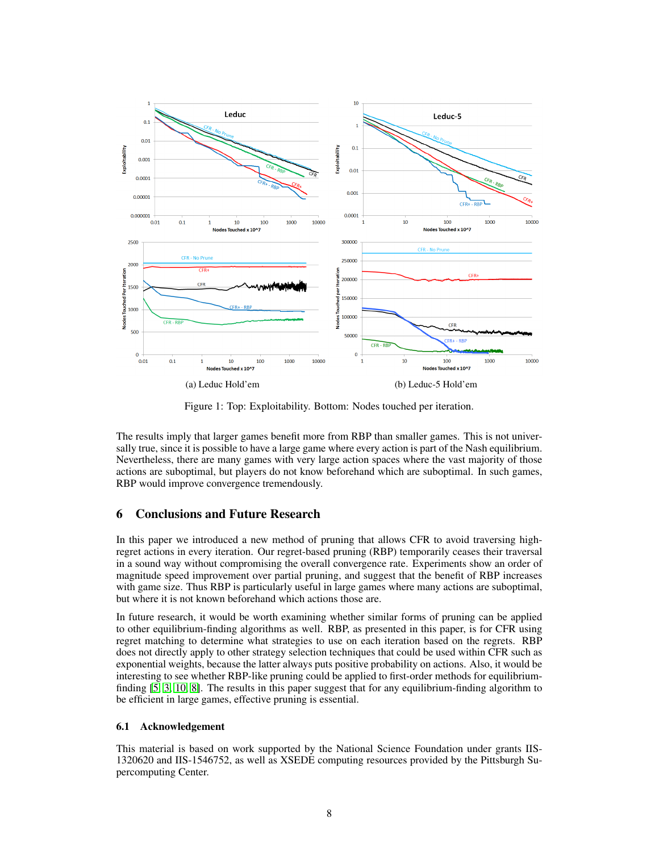

Figure 1: Top: Exploitability. Bottom: Nodes touched per iteration.

The results imply that larger games benefit more from RBP than smaller games. This is not universally true, since it is possible to have a large game where every action is part of the Nash equilibrium. Nevertheless, there are many games with very large action spaces where the vast majority of those actions are suboptimal, but players do not know beforehand which are suboptimal. In such games, RBP would improve convergence tremendously.

# 6 Conclusions and Future Research

In this paper we introduced a new method of pruning that allows CFR to avoid traversing highregret actions in every iteration. Our regret-based pruning (RBP) temporarily ceases their traversal in a sound way without compromising the overall convergence rate. Experiments show an order of magnitude speed improvement over partial pruning, and suggest that the benefit of RBP increases with game size. Thus RBP is particularly useful in large games where many actions are suboptimal, but where it is not known beforehand which actions those are.

In future research, it would be worth examining whether similar forms of pruning can be applied to other equilibrium-finding algorithms as well. RBP, as presented in this paper, is for CFR using regret matching to determine what strategies to use on each iteration based on the regrets. RBP does not directly apply to other strategy selection techniques that could be used within CFR such as exponential weights, because the latter always puts positive probability on actions. Also, it would be interesting to see whether RBP-like pruning could be applied to first-order methods for equilibriumfinding [5, 3, 10, 8]. The results in this paper suggest that for any equilibrium-finding algorithm to be efficient in large games, effective pruning is essential.

### 6.1 Acknowledgement

This material is based on work supported by the National Science Foundation under grants IIS-1320620 and IIS-1546752, as well as XSEDE computing resources provided by the Pittsburgh Supercomputing Center.